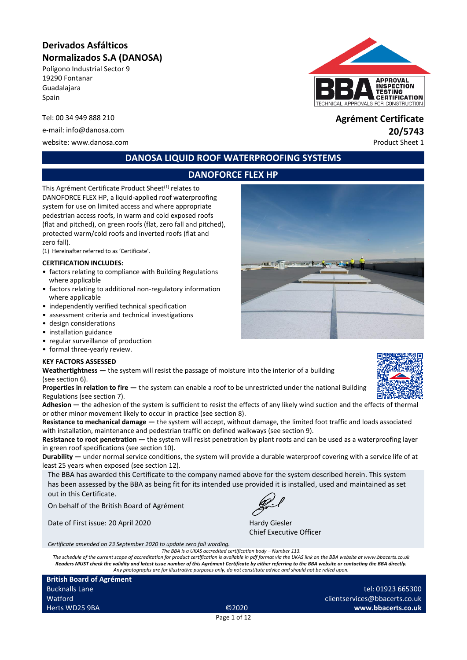# **Derivados Asfálticos Normalizados S.A (DANOSA)**

Polígono Industrial Sector 9 19290 Fontanar Guadalajara Spain

website: www.danosa.com example of the example of the example of the example of the example of the example of the example of the example of the example of the example of the example of the example of the example of the exa

# **APPROVAL INSPECTION TESTING CERTIFICATION** APPROVALS FOR CONSTRUCTION

# Tel: 00 34 949 888 210 **Agrément Certificate** e-mail: info@danosa.com **20/5743**

#### **DANOSA LIQUID ROOF WATERPROOFING SYSTEMS**

# **DANOFORCE FLEX HP**

This Agrément Certificate Product Sheet<sup>(1)</sup> relates to DANOFORCE FLEX HP, a liquid-applied roof waterproofing system for use on limited access and where appropriate pedestrian access roofs, in warm and cold exposed roofs (flat and pitched), on green roofs (flat, zero fall and pitched), protected warm/cold roofs and inverted roofs (flat and zero fall).

(1) Hereinafter referred to as 'Certificate'.

#### **CERTIFICATION INCLUDES:**

- factors relating to compliance with Building Regulations where applicable
- factors relating to additional non-regulatory information where applicable
- independently verified technical specification
- assessment criteria and technical investigations
- design considerations
- installation guidance
- regular surveillance of production
- formal three-yearly review.

#### **KEY FACTORS ASSESSED**

**Weathertightness —** the system will resist the passage of moisture into the interior of a building (see section 6).

**Properties in relation to fire —** the system can enable a roof to be unrestricted under the national Building Regulations (see section 7).

**Adhesion —** the adhesion of the system is sufficient to resist the effects of any likely wind suction and the effects of thermal or other minor movement likely to occur in practice (see section 8).

**Resistance to mechanical damage —** the system will accept, without damage, the limited foot traffic and loads associated with installation, maintenance and pedestrian traffic on defined walkways (see section 9).

**Resistance to root penetration — the system will resist penetration by plant roots and can be used as a waterproofing layer** in green roof specifications (see section 10).

**Durability —** under normal service conditions, the system will provide a durable waterproof covering with a service life of at least 25 years when exposed (see section 12).

The BBA has awarded this Certificate to the company named above for the system described herein. This system has been assessed by the BBA as being fit for its intended use provided it is installed, used and maintained as set out in this Certificate.

On behalf of the British Board of Agrément

Date of First issue: 20 April 2020 Hardy Giesler

Chief Executive Officer

*Certificate amended on 23 September 2020 to update zero fall wording.*

The BBA is a UKAS accredited certification body – Number 113.<br>The schedule of the current scope of accreditation for product certification is available in pdf format via the UKAS link on the BBA website at www.bbacerts.co. *Readers MUST check the validity and latest issue number of this Agrément Certificate by either referring to the BBA website or contacting the BBA directly. Any photographs are for illustrative purposes only, do not constitute advice and should not be relied upon.*

**British Board of Agrément** Bucknalls Lane Watford Herts WD25 9BA ©2020

tel: 01923 665300 clientservices@bbacerts.co.uk **www.bbacerts.co.uk**

Page 1 of 12

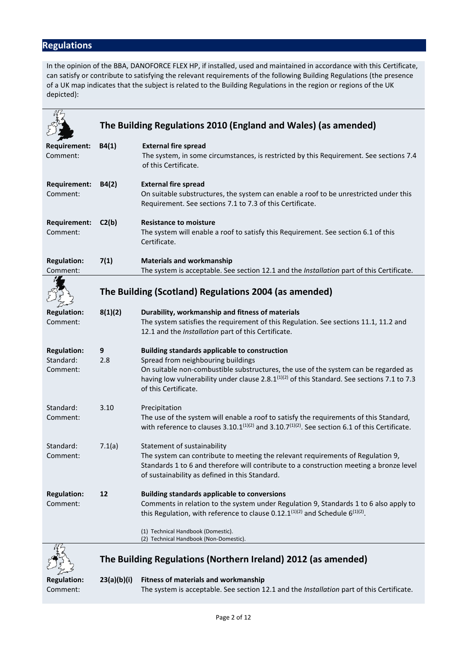# **Regulations**

In the opinion of the BBA, DANOFORCE FLEX HP, if installed, used and maintained in accordance with this Certificate, can satisfy or contribute to satisfying the relevant requirements of the following Building Regulations (the presence of a UK map indicates that the subject is related to the Building Regulations in the region or regions of the UK depicted):

|                     |                                                       | The Building Regulations 2010 (England and Wales) (as amended)                                                         |
|---------------------|-------------------------------------------------------|------------------------------------------------------------------------------------------------------------------------|
|                     |                                                       |                                                                                                                        |
| <b>Requirement:</b> | B4(1)                                                 | <b>External fire spread</b>                                                                                            |
| Comment:            |                                                       | The system, in some circumstances, is restricted by this Requirement. See sections 7.4<br>of this Certificate.         |
|                     |                                                       |                                                                                                                        |
| <b>Requirement:</b> | B4(2)                                                 | <b>External fire spread</b>                                                                                            |
| Comment:            |                                                       | On suitable substructures, the system can enable a roof to be unrestricted under this                                  |
|                     |                                                       | Requirement. See sections 7.1 to 7.3 of this Certificate.                                                              |
| <b>Requirement:</b> | C2(b)                                                 | <b>Resistance to moisture</b>                                                                                          |
| Comment:            |                                                       | The system will enable a roof to satisfy this Requirement. See section 6.1 of this                                     |
|                     |                                                       | Certificate.                                                                                                           |
| <b>Regulation:</b>  | 7(1)                                                  | <b>Materials and workmanship</b>                                                                                       |
| Comment:            |                                                       | The system is acceptable. See section 12.1 and the Installation part of this Certificate.                              |
|                     |                                                       |                                                                                                                        |
|                     | The Building (Scotland) Regulations 2004 (as amended) |                                                                                                                        |
| <b>Regulation:</b>  | 8(1)(2)                                               | Durability, workmanship and fitness of materials                                                                       |
| Comment:            |                                                       | The system satisfies the requirement of this Regulation. See sections 11.1, 11.2 and                                   |
|                     |                                                       | 12.1 and the Installation part of this Certificate.                                                                    |
| <b>Regulation:</b>  | 9                                                     | <b>Building standards applicable to construction</b>                                                                   |
| Standard:           | 2.8                                                   | Spread from neighbouring buildings                                                                                     |
| Comment:            |                                                       | On suitable non-combustible substructures, the use of the system can be regarded as                                    |
|                     |                                                       | having low vulnerability under clause 2.8.1 <sup>(1)(2)</sup> of this Standard. See sections 7.1 to 7.3                |
|                     |                                                       | of this Certificate.                                                                                                   |
| Standard:           | 3.10                                                  | Precipitation                                                                                                          |
| Comment:            |                                                       | The use of the system will enable a roof to satisfy the requirements of this Standard,                                 |
|                     |                                                       | with reference to clauses 3.10.1 <sup>(1)(2)</sup> and 3.10.7 <sup>(1)(2)</sup> . See section 6.1 of this Certificate. |
| Standard:           | 7.1(a)                                                | Statement of sustainability                                                                                            |
| Comment:            |                                                       | The system can contribute to meeting the relevant requirements of Regulation 9,                                        |
|                     |                                                       | Standards 1 to 6 and therefore will contribute to a construction meeting a bronze level                                |
|                     |                                                       | of sustainability as defined in this Standard.                                                                         |
| <b>Regulation:</b>  | 12                                                    | <b>Building standards applicable to conversions</b>                                                                    |
| Comment:            |                                                       | Comments in relation to the system under Regulation 9, Standards 1 to 6 also apply to                                  |
|                     |                                                       | this Regulation, with reference to clause 0.12.1 <sup>(1)(2)</sup> and Schedule $6^{(1)(2)}$ .                         |
|                     |                                                       | (1) Technical Handbook (Domestic).                                                                                     |
|                     |                                                       | (2) Technical Handbook (Non-Domestic).                                                                                 |
|                     |                                                       |                                                                                                                        |
|                     |                                                       | The Building Regulations (Northern Ireland) 2012 (as amended)                                                          |

Fr **Regulation: 23(a)(b)(i) Fitness of materials and workmanship** Comment: The system is acceptable. See section 12.1 and the *Installation* part of this Certificate.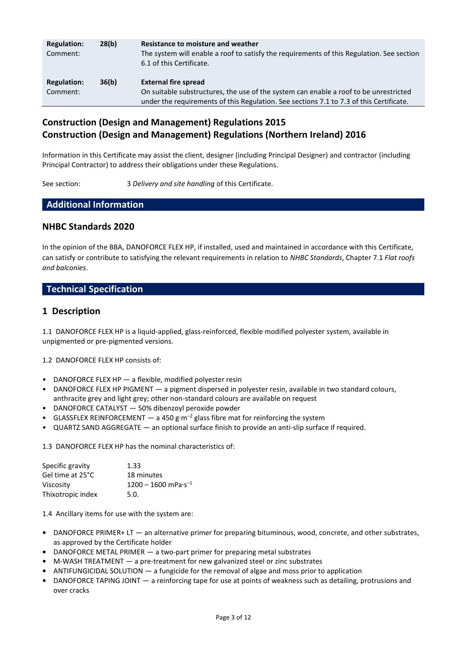| <b>Regulation:</b><br>Comment: | 28(b) | Resistance to moisture and weather<br>The system will enable a roof to satisfy the requirements of this Regulation. See section<br>6.1 of this Certificate.                                                     |
|--------------------------------|-------|-----------------------------------------------------------------------------------------------------------------------------------------------------------------------------------------------------------------|
| <b>Regulation:</b><br>Comment: | 36(b) | <b>External fire spread</b><br>On suitable substructures, the use of the system can enable a roof to be unrestricted<br>under the requirements of this Regulation. See sections 7.1 to 7.3 of this Certificate. |

## **Construction (Design and Management) Regulations 2015 Construction (Design and Management) Regulations (Northern Ireland) 2016**

Information in this Certificate may assist the client, designer (including Principal Designer) and contractor (including Principal Contractor) to address their obligations under these Regulations.

See section: 3 *Delivery and site handling* of this Certificate.

#### **Additional Information**

#### **NHBC Standards 2020**

In the opinion of the BBA, DANOFORCE FLEX HP, if installed, used and maintained in accordance with this Certificate, can satisfy or contribute to satisfying the relevant requirements in relation to *NHBC Standards*, Chapter 7.1 *Flat roofs and balconies*.

#### **Technical Specification**

#### **1 Description**

1.1 DANOFORCE FLEX HP is a liquid-applied, glass-reinforced, flexible modified polyester system, available in unpigmented or pre-pigmented versions.

1.2 DANOFORCE FLEX HP consists of:

- DANOFORCE FLEX HP a flexible, modified polyester resin
- DANOFORCE FLEX HP PIGMENT a pigment dispersed in polyester resin, available in two standard colours, anthracite grey and light grey; other non-standard colours are available on request
- DANOFORCE CATALYST 50% dibenzoyl peroxide powder
- GLASSFLEX REINFORCEMENT  $-$  a 450 g·m<sup>-2</sup> glass fibre mat for reinforcing the system
- QUARTZ SAND AGGREGATE an optional surface finish to provide an anti-slip surface if required.

1.3 DANOFORCE FLEX HP has the nominal characteristics of:

| Specific gravity  | 1.33                                      |
|-------------------|-------------------------------------------|
| Gel time at 25°C  | 18 minutes                                |
| Viscosity         | $1200 - 1600$ mPa $\cdot$ s <sup>-1</sup> |
| Thixotropic index | 5.0.                                      |

1.4 Ancillary items for use with the system are:

- **•** DANOFORCE PRIMER+ LT an alternative primer for preparing bituminous, wood, concrete, and other substrates, as approved by the Certificate holder
- **•** DANOFORCE METAL PRIMER a two-part primer for preparing metal substrates
- **•** M-WASH TREATMENT a pre-treatment for new galvanized steel or zinc substrates
- **•** ANTIFUNGICIDAL SOLUTION a fungicide for the removal of algae and moss prior to application
- **•** DANOFORCE TAPING JOINT a reinforcing tape for use at points of weakness such as detailing, protrusions and over cracks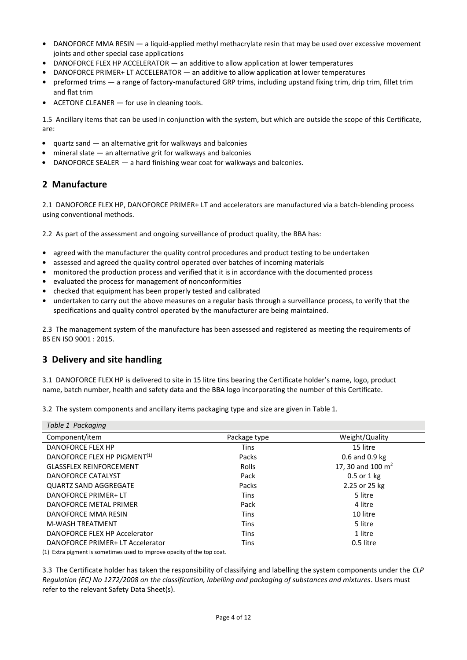- **•** DANOFORCE MMA RESIN a liquid-applied methyl methacrylate resin that may be used over excessive movement joints and other special case applications
- **•** DANOFORCE FLEX HP ACCELERATOR an additive to allow application at lower temperatures
- **•** DANOFORCE PRIMER+ LT ACCELERATOR an additive to allow application at lower temperatures
- **•** preformed trims a range of factory-manufactured GRP trims, including upstand fixing trim, drip trim, fillet trim and flat trim
- **•** ACETONE CLEANER for use in cleaning tools.

1.5 Ancillary items that can be used in conjunction with the system, but which are outside the scope of this Certificate, are:

- **•** quartz sand an alternative grit for walkways and balconies
- **•** mineral slate an alternative grit for walkways and balconies
- **•** DANOFORCE SEALER a hard finishing wear coat for walkways and balconies.

# **2 Manufacture**

2.1 DANOFORCE FLEX HP, DANOFORCE PRIMER+ LT and accelerators are manufactured via a batch-blending process using conventional methods.

2.2 As part of the assessment and ongoing surveillance of product quality, the BBA has:

- agreed with the manufacturer the quality control procedures and product testing to be undertaken
- **•** assessed and agreed the quality control operated over batches of incoming materials
- **•** monitored the production process and verified that it is in accordance with the documented process
- **•** evaluated the process for management of nonconformities
- **•** checked that equipment has been properly tested and calibrated
- **•** undertaken to carry out the above measures on a regular basis through a surveillance process, to verify that the specifications and quality control operated by the manufacturer are being maintained.

2.3 The management system of the manufacture has been assessed and registered as meeting the requirements of BS EN ISO 9001 : 2015.

### **3 Delivery and site handling**

3.1 DANOFORCE FLEX HP is delivered to site in 15 litre tins bearing the Certificate holder's name, logo, product name, batch number, health and safety data and the BBA logo incorporating the number of this Certificate.

| Table 1 Packaging                        |              |                     |  |
|------------------------------------------|--------------|---------------------|--|
| Component/item                           | Package type | Weight/Quality      |  |
| <b>DANOFORCE FLEX HP</b>                 | <b>Tins</b>  | 15 litre            |  |
| DANOFORCE FLEX HP PIGMENT <sup>(1)</sup> | Packs        | 0.6 and 0.9 kg      |  |
| <b>GLASSFLEX REINFORCEMENT</b>           | Rolls        | 17, 30 and 100 $m2$ |  |
| DANOFORCE CATALYST                       | Pack         | 0.5 or 1 kg         |  |
| <b>QUARTZ SAND AGGREGATE</b>             | Packs        | 2.25 or 25 kg       |  |
| DANOFORCE PRIMER+ LT                     | <b>Tins</b>  | 5 litre             |  |
| DANOFORCE METAL PRIMER                   | Pack         | 4 litre             |  |
| DANOFORCE MMA RESIN                      | <b>Tins</b>  | 10 litre            |  |
| <b>M-WASH TREATMENT</b>                  | <b>Tins</b>  | 5 litre             |  |
| DANOFORCE FLEX HP Accelerator            | <b>Tins</b>  | 1 litre             |  |
| DANOFORCE PRIMER+ LT Accelerator         | <b>Tins</b>  | 0.5 litre           |  |

3.2 The system components and ancillary items packaging type and size are given in Table 1.

(1) Extra pigment is sometimes used to improve opacity of the top coat.

3.3 The Certificate holder has taken the responsibility of classifying and labelling the system components under the *CLP Regulation (EC) No 1272/2008 on the classification, labelling and packaging of substances and mixtures*. Users must refer to the relevant Safety Data Sheet(s).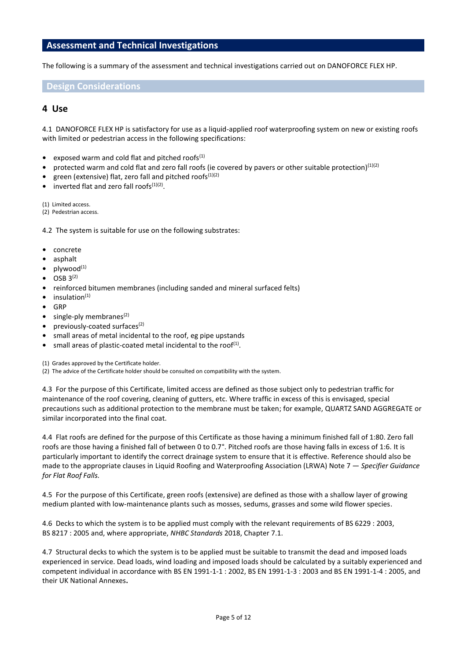#### **Assessment and Technical Investigations**

The following is a summary of the assessment and technical investigations carried out on DANOFORCE FLEX HP.

#### **Design Considerations**

#### **4 Use**

4.1 DANOFORCE FLEX HP is satisfactory for use as a liquid-applied roof waterproofing system on new or existing roofs with limited or pedestrian access in the following specifications:

- exposed warm and cold flat and pitched roofs<sup>(1)</sup>
- protected warm and cold flat and zero fall roofs (ie covered by pavers or other suitable protection)<sup>(1)(2)</sup>
- green (extensive) flat, zero fall and pitched roofs<sup>(1)(2)</sup>
- inverted flat and zero fall roofs<sup>(1)(2)</sup>.

(1) Limited access.

(2) Pedestrian access.

4.2 The system is suitable for use on the following substrates:

- **•** concrete
- **•** asphalt
- **•** plywood(1)
- **•** OSB 3(2)
- **•** reinforced bitumen membranes (including sanded and mineral surfaced felts)
- insulation(1)
- **•** GRP
- single-ply membranes<sup>(2)</sup>
- **•** previously-coated surfaces(2)
- **•** small areas of metal incidental to the roof, eg pipe upstands
- small areas of plastic-coated metal incidental to the roof<sup>(1)</sup>.

(1) Grades approved by the Certificate holder.

(2) The advice of the Certificate holder should be consulted on compatibility with the system.

4.3 For the purpose of this Certificate, limited access are defined as those subject only to pedestrian traffic for maintenance of the roof covering, cleaning of gutters, etc. Where traffic in excess of this is envisaged, special precautions such as additional protection to the membrane must be taken; for example, QUARTZ SAND AGGREGATE or similar incorporated into the final coat.

4.4 Flat roofs are defined for the purpose of this Certificate as those having a minimum finished fall of 1:80. Zero fall roofs are those having a finished fall of between 0 to 0.7°. Pitched roofs are those having falls in excess of 1:6. It is particularly important to identify the correct drainage system to ensure that it is effective. Reference should also be made to the appropriate clauses in Liquid Roofing and Waterproofing Association (LRWA) Note 7 — *Specifier Guidance for Flat Roof Falls.*

4.5 For the purpose of this Certificate, green roofs (extensive) are defined as those with a shallow layer of growing medium planted with low-maintenance plants such as mosses, sedums, grasses and some wild flower species.

4.6 Decks to which the system is to be applied must comply with the relevant requirements of BS 6229 : 2003, BS 8217 : 2005 and, where appropriate, *NHBC Standards* 2018, Chapter 7.1.

4.7 Structural decks to which the system is to be applied must be suitable to transmit the dead and imposed loads experienced in service. Dead loads, wind loading and imposed loads should be calculated by a suitably experienced and competent individual in accordance with BS EN 1991-1-1 : 2002, BS EN 1991-1-3 : 2003 and BS EN 1991-1-4 : 2005, and their UK National Annexes**.**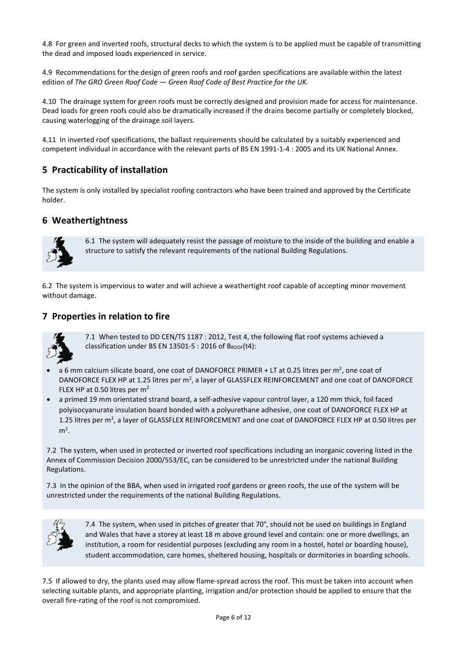4.8 For green and inverted roofs, structural decks to which the system is to be applied must be capable of transmitting the dead and imposed loads experienced in service.

4.9 Recommendations for the design of green roofs and roof garden specifications are available within the latest edition of *The GRO Green Roof Code — Green Roof Code of Best Practice for the UK.*

4.10 The drainage system for green roofs must be correctly designed and provision made for access for maintenance. Dead loads for green roofs could also be dramatically increased if the drains become partially or completely blocked, causing waterlogging of the drainage soil layers.

4.11 In inverted roof specifications, the ballast requirements should be calculated by a suitably experienced and competent individual in accordance with the relevant parts of BS EN 1991-1-4 : 2005 and its UK National Annex.

## **5 Practicability of installation**

The system is only installed by specialist roofing contractors who have been trained and approved by the Certificate holder.

#### **6 Weathertightness**



6.1 The system will adequately resist the passage of moisture to the inside of the building and enable a structure to satisfy the relevant requirements of the national Building Regulations.

6.2 The system is impervious to water and will achieve a weathertight roof capable of accepting minor movement without damage.

#### **7 Properties in relation to fire**



7.1 When tested to DD CEN/TS 1187 : 2012, Test 4, the following flat roof systems achieved a classification under BS EN 13501-5 : 2016 of  $B_{\text{ROOF}}(t4)$ :

- $\bullet$  a 6 mm calcium silicate board, one coat of DANOFORCE PRIMER + LT at 0.25 litres per m<sup>2</sup>, one coat of DANOFORCE FLEX HP at 1.25 litres per m<sup>2</sup>, a layer of GLASSFLEX REINFORCEMENT and one coat of DANOFORCE FLEX HP at 0.50 litres per m<sup>2</sup>
- a primed 19 mm orientated strand board, a self-adhesive vapour control layer, a 120 mm thick, foil faced polyisocyanurate insulation board bonded with a polyurethane adhesive, one coat of DANOFORCE FLEX HP at 1.25 litres per m<sup>2</sup>, a layer of GLASSFLEX REINFORCEMENT and one coat of DANOFORCE FLEX HP at 0.50 litres per  $m<sup>2</sup>$ .

7.2 The system, when used in protected or inverted roof specifications including an inorganic covering listed in the Annex of Commission Decision 2000/553/EC, can be considered to be unrestricted under the national Building Regulations.

7.3 In the opinion of the BBA, when used in irrigated roof gardens or green roofs, the use of the system will be unrestricted under the requirements of the national Building Regulations.



7.4 The system, when used in pitches of greater that 70°, should not be used on buildings in England and Wales that have a storey at least 18 m above ground level and contain: one or more dwellings, an institution, a room for residential purposes (excluding any room in a hostel, hotel or boarding house), student accommodation, care homes, sheltered housing, hospitals or dormitories in boarding schools.

7.5 If allowed to dry, the plants used may allow flame-spread across the roof. This must be taken into account when selecting suitable plants, and appropriate planting, irrigation and/or protection should be applied to ensure that the overall fire-rating of the roof is not compromised.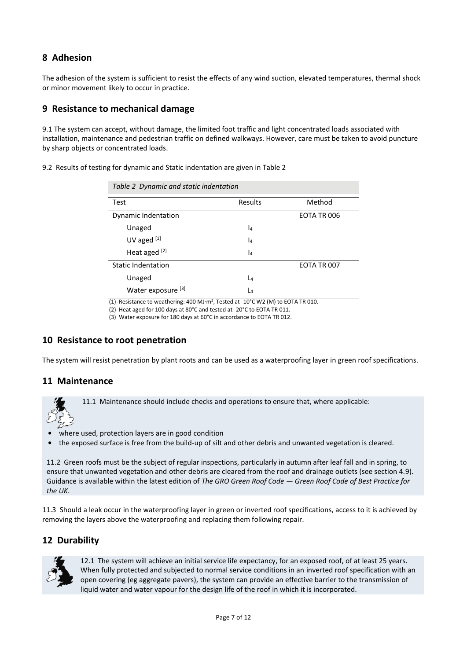# **8 Adhesion**

The adhesion of the system is sufficient to resist the effects of any wind suction, elevated temperatures, thermal shock or minor movement likely to occur in practice.

#### **9 Resistance to mechanical damage**

9.1 The system can accept, without damage, the limited foot traffic and light concentrated loads associated with installation, maintenance and pedestrian traffic on defined walkways. However, care must be taken to avoid puncture by sharp objects or concentrated loads.

| Table 2 Dynamic and static indentation |         |             |  |
|----------------------------------------|---------|-------------|--|
| Test                                   | Results | Method      |  |
| Dynamic Indentation                    |         | EOTA TR 006 |  |
| Unaged                                 | l4      |             |  |
| UV aged $[1]$                          | l4      |             |  |
| Heat aged <sup>[2]</sup>               | l4      |             |  |
| <b>Static Indentation</b>              |         | EOTA TR 007 |  |
| Unaged                                 | L4      |             |  |
| Water exposure <sup>[3]</sup>          | Lл      |             |  |

9.2 Results of testing for dynamic and Static indentation are given in Table 2

(1) Resistance to weathering: 400 MJ·m<sup>2</sup> , Tested at -10°C W2 (M) to EOTA TR 010.

(2) Heat aged for 100 days at 80°C and tested at -20°C to EOTA TR 011.

(3) Water exposure for 180 days at 60°C in accordance to EOTA TR 012.

### **10 Resistance to root penetration**

The system will resist penetration by plant roots and can be used as a waterproofing layer in green roof specifications.

#### **11 Maintenance**

11.1 Maintenance should include checks and operations to ensure that, where applicable:

- **•** where used, protection layers are in good condition
- **•** the exposed surface is free from the build-up of silt and other debris and unwanted vegetation is cleared.

11.2 Green roofs must be the subject of regular inspections, particularly in autumn after leaf fall and in spring, to ensure that unwanted vegetation and other debris are cleared from the roof and drainage outlets (see section 4.9). Guidance is available within the latest edition of *The GRO Green Roof Code — Green Roof Code of Best Practice for the UK*.

11.3 Should a leak occur in the waterproofing layer in green or inverted roof specifications, access to it is achieved by removing the layers above the waterproofing and replacing them following repair.

### **12 Durability**



12.1 The system will achieve an initial service life expectancy, for an exposed roof, of at least 25 years. When fully protected and subjected to normal service conditions in an inverted roof specification with an open covering (eg aggregate pavers), the system can provide an effective barrier to the transmission of liquid water and water vapour for the design life of the roof in which it is incorporated.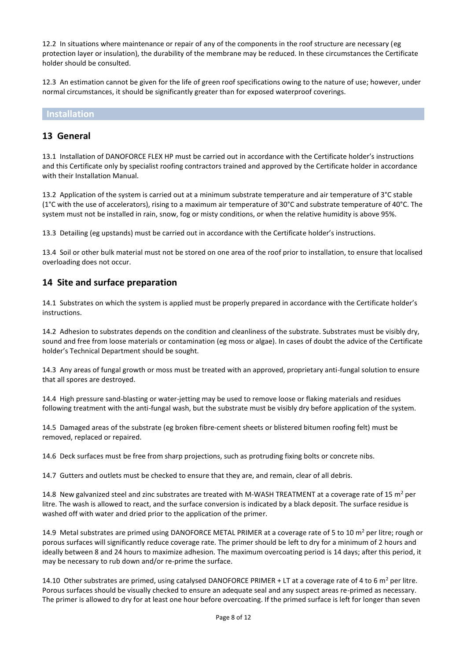12.2 In situations where maintenance or repair of any of the components in the roof structure are necessary (eg protection layer or insulation), the durability of the membrane may be reduced. In these circumstances the Certificate holder should be consulted.

12.3 An estimation cannot be given for the life of green roof specifications owing to the nature of use; however, under normal circumstances, it should be significantly greater than for exposed waterproof coverings.

#### **Installation**

#### **13 General**

13.1 Installation of DANOFORCE FLEX HP must be carried out in accordance with the Certificate holder's instructions and this Certificate only by specialist roofing contractors trained and approved by the Certificate holder in accordance with their Installation Manual.

13.2 Application of the system is carried out at a minimum substrate temperature and air temperature of 3°C stable (1 $^{\circ}$ C with the use of accelerators), rising to a maximum air temperature of 30 $^{\circ}$ C and substrate temperature of 40 $^{\circ}$ C. The system must not be installed in rain, snow, fog or misty conditions, or when the relative humidity is above 95%.

13.3 Detailing (eg upstands) must be carried out in accordance with the Certificate holder's instructions.

13.4 Soil or other bulk material must not be stored on one area of the roof prior to installation, to ensure that localised overloading does not occur.

#### **14 Site and surface preparation**

14.1 Substrates on which the system is applied must be properly prepared in accordance with the Certificate holder's instructions.

14.2 Adhesion to substrates depends on the condition and cleanliness of the substrate. Substrates must be visibly dry, sound and free from loose materials or contamination (eg moss or algae). In cases of doubt the advice of the Certificate holder's Technical Department should be sought.

14.3 Any areas of fungal growth or moss must be treated with an approved, proprietary anti-fungal solution to ensure that all spores are destroyed.

14.4 High pressure sand-blasting or water-jetting may be used to remove loose or flaking materials and residues following treatment with the anti-fungal wash, but the substrate must be visibly dry before application of the system.

14.5 Damaged areas of the substrate (eg broken fibre-cement sheets or blistered bitumen roofing felt) must be removed, replaced or repaired.

14.6 Deck surfaces must be free from sharp projections, such as protruding fixing bolts or concrete nibs.

14.7 Gutters and outlets must be checked to ensure that they are, and remain, clear of all debris.

14.8 New galvanized steel and zinc substrates are treated with M-WASH TREATMENT at a coverage rate of 15  $m^2$  per litre. The wash is allowed to react, and the surface conversion is indicated by a black deposit. The surface residue is washed off with water and dried prior to the application of the primer.

14.9 Metal substrates are primed using DANOFORCE METAL PRIMER at a coverage rate of 5 to 10  $m^2$  per litre; rough or porous surfaces will significantly reduce coverage rate. The primer should be left to dry for a minimum of 2 hours and ideally between 8 and 24 hours to maximize adhesion. The maximum overcoating period is 14 days; after this period, it may be necessary to rub down and/or re-prime the surface.

14.10 Other substrates are primed, using catalysed DANOFORCE PRIMER + LT at a coverage rate of 4 to 6  $m^2$  per litre. Porous surfaces should be visually checked to ensure an adequate seal and any suspect areas re-primed as necessary. The primer is allowed to dry for at least one hour before overcoating. If the primed surface is left for longer than seven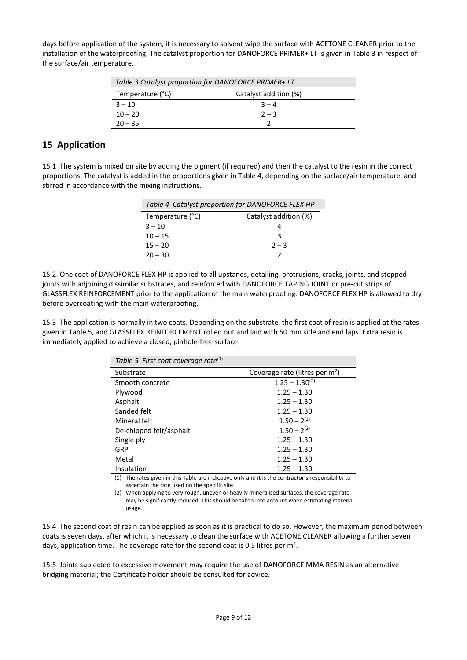days before application of the system, it is necessary to solvent wipe the surface with ACETONE CLEANER prior to the installation of the waterproofing. The catalyst proportion for DANOFORCE PRIMER+ LT is given in Table 3 in respect of the surface/air temperature.

| Table 3 Catalyst proportion for DANOFORCE PRIMER+ LT |                       |  |
|------------------------------------------------------|-----------------------|--|
| Temperature (°C)                                     | Catalyst addition (%) |  |
| $3 - 10$                                             | $3 - 4$               |  |
| $10 - 20$                                            | $2 - 3$               |  |
| $20 - 35$                                            |                       |  |

### **15 Application**

15.1 The system is mixed on site by adding the pigment (if required) and then the catalyst to the resin in the correct proportions. The catalyst is added in the proportions given in Table 4, depending on the surface/air temperature, and stirred in accordance with the mixing instructions.

| Table 4 Catalyst proportion for DANOFORCE FLEX HP |                       |  |
|---------------------------------------------------|-----------------------|--|
| Temperature (°C)                                  | Catalyst addition (%) |  |
| $3 - 10$                                          |                       |  |
| $10 - 15$                                         | २                     |  |
| $15 - 20$                                         | $2 - 3$               |  |
| $20 - 30$                                         |                       |  |

15.2 One coat of DANOFORCE FLEX HP is applied to all upstands, detailing, protrusions, cracks, joints, and stepped joints with adjoining dissimilar substrates, and reinforced with DANOFORCE TAPING JOINT or pre-cut strips of GLASSFLEX REINFORCEMENT prior to the application of the main waterproofing. DANOFORCE FLEX HP is allowed to dry before overcoating with the main waterproofing.

15.3 The application is normally in two coats. Depending on the substrate, the first coat of resin is applied at the rates given in Table 5, and GLASSFLEX REINFORCEMENT rolled out and laid with 50 mm side and end laps. Extra resin is immediately applied to achieve a closed, pinhole-free surface.

| Table 5 First coat coverage rate <sup>(1)</sup> |                                            |
|-------------------------------------------------|--------------------------------------------|
| Substrate                                       | Coverage rate (litres per m <sup>2</sup> ) |
| Smooth concrete                                 | $1.25 - 1.30^{(2)}$                        |
| Plywood                                         | $1.25 - 1.30$                              |
| Asphalt                                         | $1.25 - 1.30$                              |
| Sanded felt                                     | $1.25 - 1.30$                              |
| Mineral felt                                    | $1.50 - 2^{(2)}$                           |
| De-chipped felt/asphalt                         | $1.50 - 2^{(2)}$                           |
| Single ply                                      | $1.25 - 1.30$                              |
| GRP                                             | $1.25 - 1.30$                              |
| Metal                                           | $1.25 - 1.30$                              |
| Insulation                                      | $1.25 - 1.30$                              |
| $\sim$ $\sim$ $\sim$ $\sim$                     | $\sim$ $\sim$ $\sim$<br>.                  |

(1) The rates given in this Table are indicative only and it is the contractor's responsibility to ascertain the rate used on the specific site.

(2) When applying to very rough, uneven or heavily mineralised surfaces, the coverage rate may be significantly reduced. This should be taken into account when estimating material usage.

15.4 The second coat of resin can be applied as soon as it is practical to do so. However, the maximum period between coats is seven days, after which it is necessary to clean the surface with ACETONE CLEANER allowing a further seven days, application time. The coverage rate for the second coat is 0.5 litres per  $m^2$ .

15.5 Joints subjected to excessive movement may require the use of DANOFORCE MMA RESIN as an alternative bridging material; the Certificate holder should be consulted for advice.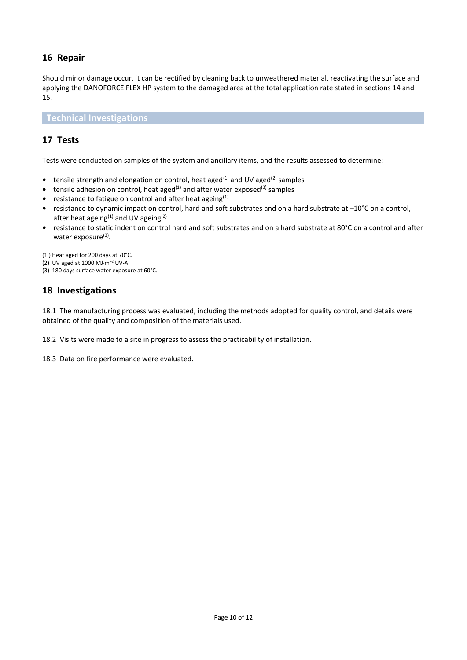# **16 Repair**

Should minor damage occur, it can be rectified by cleaning back to unweathered material, reactivating the surface and applying the DANOFORCE FLEX HP system to the damaged area at the total application rate stated in sections 14 and 15.

**Technical Investigations**

### **17 Tests**

Tests were conducted on samples of the system and ancillary items, and the results assessed to determine:

- tensile strength and elongation on control, heat aged<sup>(1)</sup> and UV aged<sup>(2)</sup> samples
- tensile adhesion on control, heat aged<sup>(1)</sup> and after water exposed<sup>(3)</sup> samples
- **•** resistance to fatigue on control and after heat ageing<sup>(1)</sup>
- **•** resistance to dynamic impact on control, hard and soft substrates and on a hard substrate at –10°C on a control, after heat ageing $(1)$  and UV ageing $(2)$
- **•** resistance to static indent on control hard and soft substrates and on a hard substrate at 80°C on a control and after water exposure<sup>(3)</sup>.

(1 ) Heat aged for 200 days at 70°C.

- (2) UV aged at 1000 MJ·m–<sup>2</sup> UV-A.
- (3) 180 days surface water exposure at 60°C.

#### **18 Investigations**

18.1 The manufacturing process was evaluated, including the methods adopted for quality control, and details were obtained of the quality and composition of the materials used.

18.2 Visits were made to a site in progress to assess the practicability of installation.

18.3 Data on fire performance were evaluated.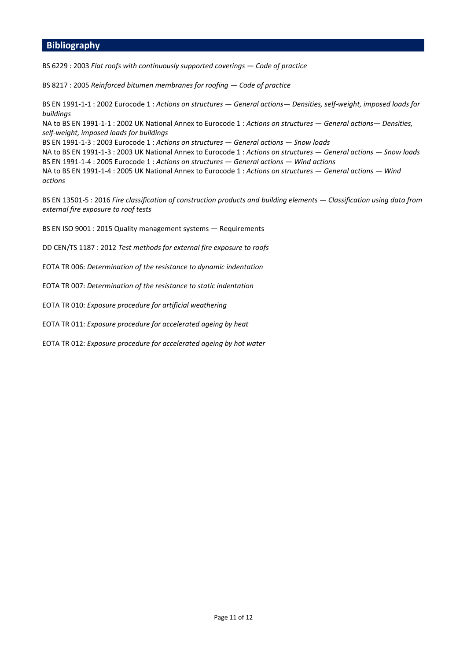#### **Bibliography**

BS 6229 : 2003 *Flat roofs with continuously supported coverings — Code of practice*

BS 8217 : 2005 *Reinforced bitumen membranes for roofing — Code of practice*

BS EN 1991-1-1 : 2002 Eurocode 1 : *Actions on structures — General actions— Densities, self-weight, imposed loads for buildings*

NA to BS EN 1991-1-1 : 2002 UK National Annex to Eurocode 1 : *Actions on structures — General actions— Densities, self-weight, imposed loads for buildings*

BS EN 1991-1-3 : 2003 Eurocode 1 : *Actions on structures — General actions — Snow loads*

NA to BS EN 1991-1-3 : 2003 UK National Annex to Eurocode 1 : *Actions on structures — General actions — Snow loads* BS EN 1991-1-4 : 2005 Eurocode 1 : *Actions on structures — General actions — Wind actions*

NA to BS EN 1991-1-4 : 2005 UK National Annex to Eurocode 1 : *Actions on structures — General actions — Wind actions*

BS EN 13501-5 : 2016 *Fire classification of construction products and building elements — Classification using data from external fire exposure to roof tests*

BS EN ISO 9001 : 2015 Quality management systems — Requirements

DD CEN/TS 1187 : 2012 *Test methods for external fire exposure to roofs*

EOTA TR 006: *Determination of the resistance to dynamic indentation*

EOTA TR 007: *Determination of the resistance to static indentation* 

EOTA TR 010: *Exposure procedure for artificial weathering*

EOTA TR 011: *Exposure procedure for accelerated ageing by heat* 

EOTA TR 012: *Exposure procedure for accelerated ageing by hot water*